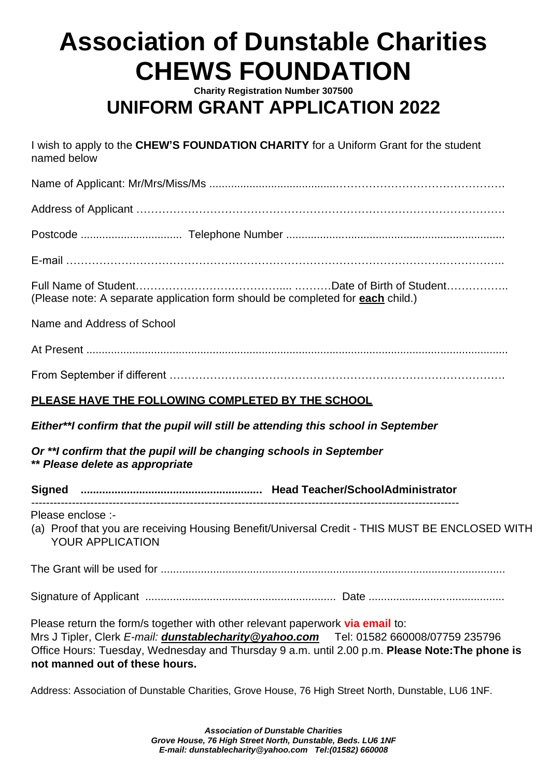# **Association of Dunstable Charities CHEWS FOUNDATION**

**Charity Registration Number 307500**

## **UNIFORM GRANT APPLICATION 2022**

I wish to apply to the **CHEW'S FOUNDATION CHARITY** for a Uniform Grant for the student named below

Name of Applicant: Mr/Mrs/Miss/Ms .........................................……………………………………….

Address of Applicant ……………………………………………………………………………………….

Postcode ................................. Telephone Number .......................................................................

E-mail ………………………………………………………………………………………………………..

Full Name of Student………………………………….... .………Date of Birth of Student…………….. (Please note: A separate application form should be completed for **each** child.)

Name and Address of School

At Present .........................................................................................................................................

From September if different ……………………………………………………………………………….

#### **PLEASE HAVE THE FOLLOWING COMPLETED BY THE SCHOOL**

*Either\*\*I confirm that the pupil will still be attending this school in September*

*Or \*\*I confirm that the pupil will be changing schools in September* **\*\*** *Please delete as appropriate*

**Signed ........................................................... Head Teacher/SchoolAdministrator**

Please enclose :-

(a) Proof that you are receiving Housing Benefit/Universal Credit - THIS MUST BE ENCLOSED WITH YOUR APPLICATION

The Grant will be used for ................................................................................................................

Signature of Applicant .............................................................. Date ............................................

Please return the form/s together with other relevant paperwork **via email** to: Mrs J Tipler, Clerk *E-mail: dunstablecharity@yahoo.com* Tel: 01582 660008/07759 235796 Office Hours: Tuesday, Wednesday and Thursday 9 a.m. until 2.00 p.m. **Please Note:The phone is not manned out of these hours.**

Address: Association of Dunstable Charities, Grove House, 76 High Street North, Dunstable, LU6 1NF.